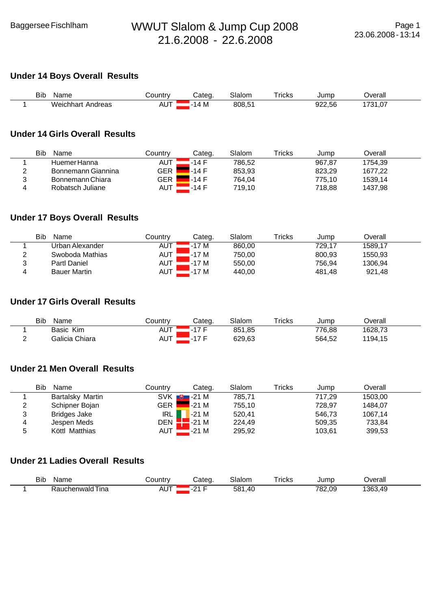## **Under 14 Boys Overall Results**

| Bib | Name                 | Countr∨                 | شateα   | Slalom | $r$ ricks | Jumr   | )verall                     |  |
|-----|----------------------|-------------------------|---------|--------|-----------|--------|-----------------------------|--|
|     | Weichhart<br>Andreas | . <del>. .</del><br>AU. | IД<br>M | 808,51 |           | 922,56 | 1704.<br>$\sim$<br>، ט. ו כ |  |

#### **Under 14 Girls Overall Results**

| Bib<br>Name        | Countrv    | Categ. | Slalom | Tricks | Jump   | Overall |  |
|--------------------|------------|--------|--------|--------|--------|---------|--|
| Huemer Hanna       | <b>AUT</b> | -14 F  | 786.52 |        | 967,87 | 754.39  |  |
| Bonnemann Giannina | <b>GER</b> | $-14F$ | 853.93 |        | 823.29 | 1677.22 |  |
| Bonnemann Chiara   | <b>GER</b> | $-14F$ | 764.04 |        | 775.10 | 1539.14 |  |
| Robatsch Juliane   | AUT        | .-14 F | 719.10 |        | 718.88 | 1437,98 |  |

#### **Under 17 Boys Overall Results**

|   | Bib<br>Name         | Countrv    | Categ. | Slalom | $\mathsf{r}_\mathsf{rickS}$ | Jump   | Overall |  |
|---|---------------------|------------|--------|--------|-----------------------------|--------|---------|--|
|   | Urban Alexander     | AUT        | 17 M   | 860.00 |                             | 729.17 | 1589,17 |  |
|   | Swoboda Mathias     | AUT        | 17 M   | 750.00 |                             | 800.93 | 1550.93 |  |
| J | <b>Partl Daniel</b> | AUT        | 17 M   | 550.00 |                             | 756,94 | 1306,94 |  |
| 4 | <b>Bauer Martin</b> | <b>AUT</b> | 17 M   | 440,00 |                             | 481,48 | 921,48  |  |

#### **Under 17 Girls Overall Results**

|             | Bib<br>Name    | ∟ountryٽ     | Categ | Slalom | $T$ ricks | Jump   | <b>Dverall</b> |  |
|-------------|----------------|--------------|-------|--------|-----------|--------|----------------|--|
|             | Basic Kim      | $\sim$<br>שר |       | 851,85 |           | 776,88 | 1628,73        |  |
| $\sim$<br>- | Galicia Chiara | $-$<br>nu    |       | 629,63 |           | 564,52 | 1194,15        |  |

# **Under 21 Men Overall Results**

|   | Bib<br>Name             | Countrv | Categ.                     | Slalom | Tricks | Jump   | Overall |  |
|---|-------------------------|---------|----------------------------|--------|--------|--------|---------|--|
|   | <b>Bartalsky Martin</b> |         | $SVK$ $\blacksquare$ -21 M | 785,71 |        | 717.29 | 1503,00 |  |
| 2 | Schipner Bojan          | GER     | -21 M                      | 755.10 |        | 728.97 | 1484.07 |  |
| 3 | <b>Bridges Jake</b>     | IRL     | -21 M                      | 520.41 |        | 546.73 | 1067,14 |  |
| 4 | Jespen Meds             |         | DEN $\blacksquare$ -21 M   | 224.49 |        | 509,35 | 733,84  |  |
| 5 | Köttl Matthias          | AUT     | $-21M$                     | 295,92 |        | 103,61 | 399,53  |  |

# **Under 21 Ladies Overall Results**

| Bib<br>Nam∈<br>$\sim$ | $-1101 - 11$     | atea   | יי<br>_____                         | $\overline{\phantom{0}}$<br>ricks<br>____ | Jump | <br>)verall       |  |
|-----------------------|------------------|--------|-------------------------------------|-------------------------------------------|------|-------------------|--|
| ına<br>walo           | . .<br><b>AU</b> | $\sim$ | -581<br>$\Lambda$<br>$ -$<br>$\sim$ |                                           | 70'  | $136^\circ$<br>AC |  |